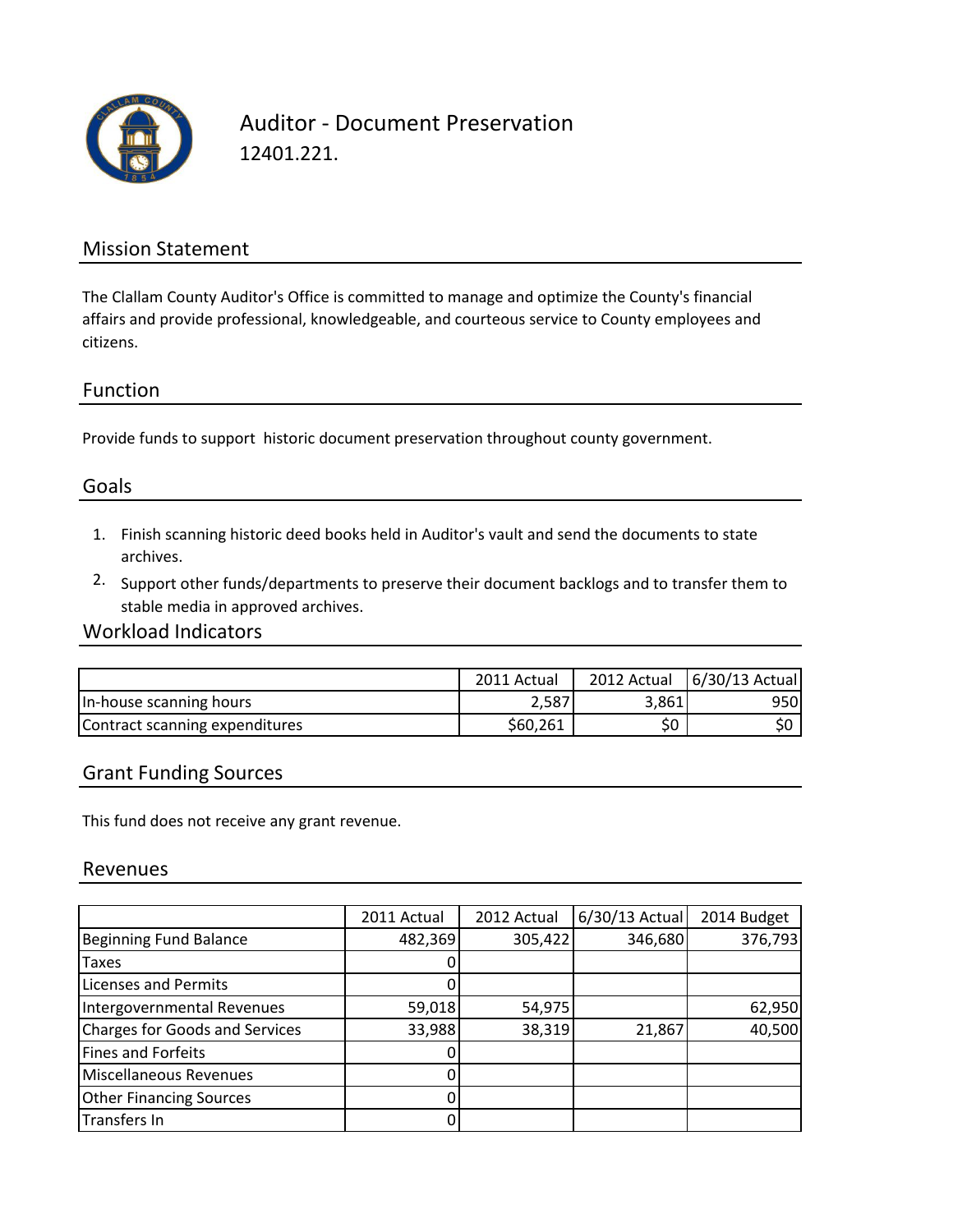

Auditor - Document Preservation 12401.221.

#### Mission Statement

The Clallam County Auditor's Office is committed to manage and optimize the County's financial affairs and provide professional, knowledgeable, and courteous service to County employees and citizens.

#### Function

Provide funds to support historic document preservation throughout county government.

### Goals

- 1. Finish scanning historic deed books held in Auditor's vault and send the documents to state archives.
- 2. Support other funds/departments to preserve their document backlogs and to transfer them to stable media in approved archives.

#### Workload Indicators

|                                | 2011 Actual |       | 2012 Actual   6/30/13 Actual |
|--------------------------------|-------------|-------|------------------------------|
| In-house scanning hours        | 2,587       | 3,861 | 950l                         |
| Contract scanning expenditures | \$60,261    |       |                              |

#### Grant Funding Sources

This fund does not receive any grant revenue.

#### Revenues

|                                       | 2011 Actual | 2012 Actual | $6/30/13$ Actual | 2014 Budget |
|---------------------------------------|-------------|-------------|------------------|-------------|
| <b>Beginning Fund Balance</b>         | 482,369     | 305,422     | 346,680          | 376,793     |
| Taxes                                 |             |             |                  |             |
| Licenses and Permits                  |             |             |                  |             |
| Intergovernmental Revenues            | 59,018      | 54,975      |                  | 62,950      |
| <b>Charges for Goods and Services</b> | 33,988      | 38,319      | 21,867           | 40,500      |
| <b>Fines and Forfeits</b>             |             |             |                  |             |
| Miscellaneous Revenues                |             |             |                  |             |
| <b>Other Financing Sources</b>        | 0           |             |                  |             |
| Transfers In                          |             |             |                  |             |